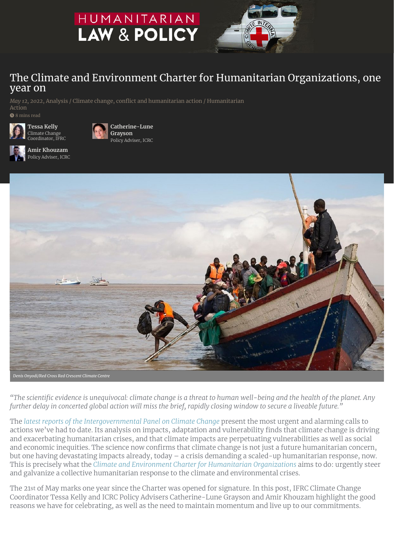# HUMANITARIAN **LAW & POLICY**



## The Climate and Environment Charter for Humanitarian Organizations, one year on

*May 12, 2022*, [Analysis](https://blogs.icrc.org/law-and-policy/category/type-of-post/analysis/) / Climate change, conflict and [humanitarian](https://blogs.icrc.org/law-and-policy/category/special-themes/climate-change-conflict-and-humanitarian-action/) action / [Humanitarian](https://blogs.icrc.org/law-and-policy/category/humanitarian-action/) Action <sup>8</sup> 8 mins read



**[Catherine-Lune](https://blogs.icrc.org/law-and-policy/contributor/catherine-lune-grayson/) Grayson** Policy Adviser, ICRC



**Amir [Khouzam](https://blogs.icrc.org/law-and-policy/contributor/amir-khouzam/)** Policy Adviser, ICRC



*Denis Onyodi/Red Cross Red Crescent Climate Centre*

"The scientific evidence is unequivocal: climate change is a threat to human well-being and the health of the planet. Any further delay in concerted global action will miss the brief, rapidly closing window to secure a liveable future."

The *latest reports of [the Intergovernmental](https://www.ipcc.ch/report/sixth-assessment-report-working-group-ii/) Panel on Climate Change present the most urgent and alarming calls to* actions we've had to date. Its analysis on impacts, adaptation and vulnerability finds that climate change is driving and exacerbating humanitarian crises, and that climate impacts are perpetuating vulnerabilities as well as social and economic inequities. The science now confirms that climate change is not just a future humanitarian concern, but one having devastating impacts already, today – a crisis demanding a scaled-up humanitarian response, now. This is precisely what the Climate and Environment Charter for [Humanitarian](https://www.climate-charter.org/) Organizations aims to do: urgently steer and galvanize a collective humanitarian response to the climate and environmental crises.

The 21st of May marks one year since the Charter was opened for signature. In this post, IFRC Climate Change Coordinator Tessa Kelly and ICRC Policy Advisers Catherine-Lune Grayson and Amir Khouzam highlight the good reasons we have for celebrating, as well as the need to maintain momentum and live up to our commitments.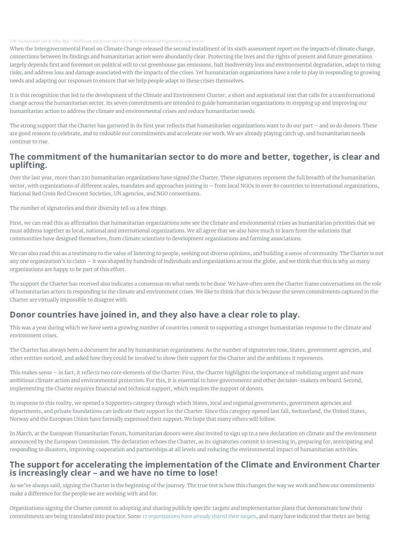#### ICRC [Humanitarian](https://soundcloud.com/icrc-lawandpolicy-blog) Law & Policy Blog · The Climate and Environment Charter

When the Intergovernmental Panel on Climate Change released the second installment of its sixth assessment report on the impacts of climate change, connections between its findings and humanitarian action were abundantly clear. Protecting the lives and the rights of present and future generations largely depends first and foremost on political will to cut greenhouse gas emissions, halt biodiversity loss and environmental degradation, adapt to rising risks, and address loss and damage associated with the impacts of the crises. Yet humanitarian organizations have a role to play in responding to growing needs and adapting our responses to ensure that we help people adapt to these crises themselves.

It is this recognition that led to the development of the Climate and Environment Charter, a short and aspirational text that calls for a transformational change across the humanitarian sector. Its seven commitments are intended to guide humanitarian organizations in stepping up and improving our humanitarian action to address the climate and environmental crises and reduce humanitarian needs.

The strong support that the Charter has garnered in its first year reflects that humanitarian organizations want to do our part – and so do donors. These are good reasons to celebrate, and to redouble our commitments and accelerate our work. We are already playing catch up, and humanitarian needs continue to rise.

## The commitment of the humanitarian sector to do more and better, together, is clear and uplifting.

Over the last year, more than 230 humanitarian organizations have signed the Charter. These signatures represent the full breadth of the humanitarian sector, with organizations of different scales, mandates and approaches joining in – from local NGOs in over 80 countries to international organizations, National Red Cross Red Crescent Societies, UN agencies, and NGO consortiums.

The number of signatories and their diversity tell us a few things.

First, we can read this as affirmation that humanitarian organizations now see the climate and environmental crises as humanitarian priorities that we must address together as local, national and international organizations. We all agree that we also have much to learn from the solutions that communities have designed themselves, from climate scientists to development organizations and farming associations.

We can also read this as a testimony to the value of listening to people, seeking out diverse opinions, and building a sense of community. The Charter is not any one organization's to claim – it was shaped by hundreds of individuals and organizations across the globe, and we think that this is why so many organizations are happy to be part of this effort.

The support the Charter has received also indicates a consensus on what needs to be done. We have often seen the Charter frame conversations on the role of humanitarian actors in responding to the climate and environment crises. We like to think that this is because the seven commitments captured in the Charter are virtually impossible to disagree with.

## Donor countries have joined in, and they also have a clear role to play.

This was a year during which we have seen a growing number of countries commit to supporting a stronger humanitarian response to the climate and environment crises.

The Charter has always been a document for and by humanitarian organizations. As the number of signatories rose, States, government agencies, and other entities noticed, and asked how they could be involved to show their support for the Charter and the ambitions it represents.

This makes sense – in fact, it reflects two core elements of the Charter. First, the Charter highlights the importance of mobilizing urgent and more ambitious climate action and environmental protection. For this, it is essential to have governments and other decision-makers on board. Second, implementing the Charter requires financial and technical support, which requires the support of donors.

In response to this reality, we opened a Supporters category through which States, local and regional governments, government agencies and departments, and private foundations can indicate their support for the Charter. Since this category opened last fall, Switzerland, the United States, Norway and the European Union have formally expressed their support. We hope that many others will follow.

In March, at the European Humanitarian Forum, humanitarian donors were also invited to sign up to a new declaration on climate and the environment announced by the European Commission. The declaration echoes the Charter, as its signatories commit to investing in, preparing for, anticipating and responding to disasters, improving cooperation and partnerships at all levels and reducing the environmental impact of humanitarian activities.

## The support for accelerating the implementation of the Climate and Environment Charter is increasingly clear – and we have no time to lose!

As we've always said, signing the Charter is the beginning of the journey. The true test is how this changes the way we work and how our commitments make a difference for the people we are working with and for.

Organizations signing the Charter commit to adopting and sharing publicly specific targets and implementation plans that demonstrate how their commitments are being translated into practice. Some *17 [organizations have](https://www.climate-charter.org/targets/) already shared their targets*, and many have indicated that theirs are being